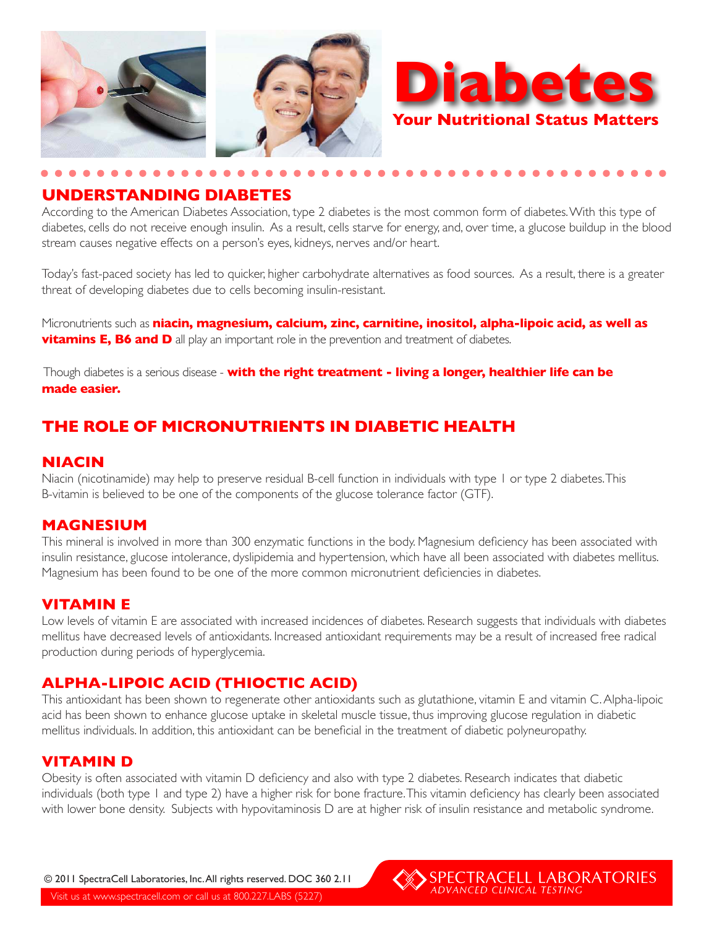



## **UNDERSTANDING DIABETES**

According to the American Diabetes Association, type 2 diabetes is the most common form of diabetes. With this type of diabetes, cells do not receive enough insulin. As a result, cells starve for energy, and, over time, a glucose buildup in the blood stream causes negative effects on a person's eyes, kidneys, nerves and/or heart.

Today's fast-paced society has led to quicker, higher carbohydrate alternatives as food sources. As a result, there is a greater threat of developing diabetes due to cells becoming insulin-resistant.

Micronutrients such as **niacin, magnesium, calcium, zinc, carnitine, inositol, alpha-lipoic acid, as well as vitamins E, B6 and D** all play an important role in the prevention and treatment of diabetes.

 Though diabetes is a serious disease - **with the right treatment - living a longer, healthier life can be made easier.**

# **THE ROLE OF MICRONUTRIENTS IN DIABETIC HEALTH**

#### **NIACIN**

Niacin (nicotinamide) may help to preserve residual B-cell function in individuals with type 1 or type 2 diabetes. This B-vitamin is believed to be one of the components of the glucose tolerance factor (GTF).

#### **MAGNESIUM**

This mineral is involved in more than 300 enzymatic functions in the body. Magnesium deficiency has been associated with insulin resistance, glucose intolerance, dyslipidemia and hypertension, which have all been associated with diabetes mellitus. Magnesium has been found to be one of the more common micronutrient deficiencies in diabetes.

## **VITAMIN E**

Low levels of vitamin E are associated with increased incidences of diabetes. Research suggests that individuals with diabetes mellitus have decreased levels of antioxidants. Increased antioxidant requirements may be a result of increased free radical production during periods of hyperglycemia.

# **ALPHA-LIPOIC ACID (THIOCTIC ACID)**

This antioxidant has been shown to regenerate other antioxidants such as glutathione, vitamin E and vitamin C. Alpha-lipoic acid has been shown to enhance glucose uptake in skeletal muscle tissue, thus improving glucose regulation in diabetic mellitus individuals. In addition, this antioxidant can be beneficial in the treatment of diabetic polyneuropathy.

## **VITAMIN D**

Obesity is often associated with vitamin D deficiency and also with type 2 diabetes. Research indicates that diabetic individuals (both type 1 and type 2) have a higher risk for bone fracture. This vitamin deficiency has clearly been associated with lower bone density. Subjects with hypovitaminosis D are at higher risk of insulin resistance and metabolic syndrome.

Visit us at www.spectracell.com or call us at 800.227.LABS (5227) © 2011 SpectraCell Laboratories, Inc. All rights reserved. DOC 360 2.11